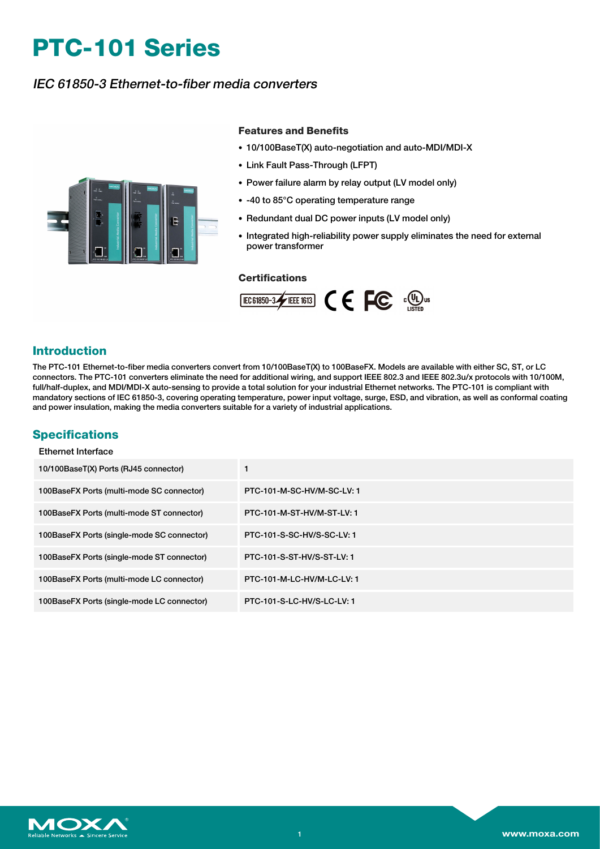# **PTC-101 Series**

# IEC 61850-3 Ethernet-to-fiber media converters



### **Features and Benefits**

- 10/100BaseT(X) auto-negotiation and auto-MDI/MDI-X
- Link Fault Pass-Through (LFPT)
- Power failure alarm by relay output (LV model only)
- -40 to 85°C operating temperature range
- Redundant dual DC power inputs (LV model only)
- Integrated high-reliability power supply eliminates the need for external power transformer

### **Certifications**



# **Introduction**

The PTC-101 Ethernet-to-fiber media converters convert from 10/100BaseT(X) to 100BaseFX. Models are available with either SC, ST, or LC connectors. The PTC-101 converters eliminate the need for additional wiring, and support IEEE 802.3 and IEEE 802.3u/x protocols with 10/100M, full/half-duplex, and MDI/MDI-X auto-sensing to provide a total solution for your industrial Ethernet networks. The PTC-101 is compliant with mandatory sections of IEC 61850-3, covering operating temperature, power input voltage, surge, ESD, and vibration, as well as conformal coating and power insulation, making the media converters suitable for a variety of industrial applications.

## **Specifications**

Ethernet Interface

| 10/100BaseT(X) Ports (RJ45 connector)      |                            |
|--------------------------------------------|----------------------------|
| 100BaseFX Ports (multi-mode SC connector)  | PTC-101-M-SC-HV/M-SC-LV: 1 |
| 100BaseFX Ports (multi-mode ST connector)  | PTC-101-M-ST-HV/M-ST-LV: 1 |
| 100BaseFX Ports (single-mode SC connector) | PTC-101-S-SC-HV/S-SC-LV: 1 |
| 100BaseFX Ports (single-mode ST connector) | PTC-101-S-ST-HV/S-ST-LV: 1 |
| 100BaseFX Ports (multi-mode LC connector)  | PTC-101-M-LC-HV/M-LC-LV: 1 |
| 100BaseFX Ports (single-mode LC connector) | PTC-101-S-LC-HV/S-LC-LV: 1 |

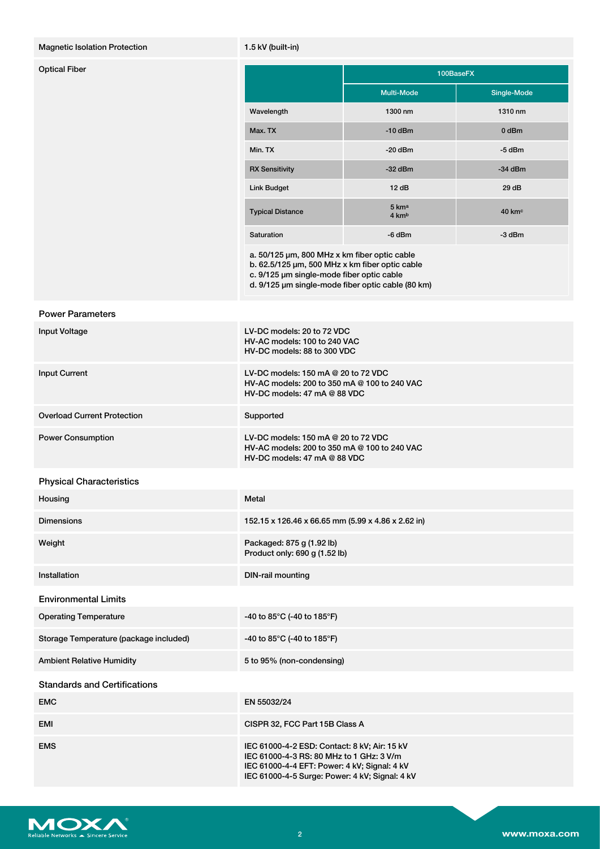### Magnetic Isolation Protection 1.5 kV (built-in)

| <b>Optical Fiber</b> |                                              | 100BaseFX         |             |
|----------------------|----------------------------------------------|-------------------|-------------|
|                      |                                              | <b>Multi-Mode</b> | Single-Mode |
|                      | Wavelength                                   | 1300 nm           | 1310 nm     |
|                      | Max. TX                                      | $-10$ dBm         | 0 dBm       |
|                      | Min. TX                                      | $-20$ dBm         | -5 dBm      |
|                      | <b>RX Sensitivity</b>                        | $-32$ dBm         | $-34$ dBm   |
|                      | <b>Link Budget</b>                           | 12dB              | 29 dB       |
|                      | <b>Typical Distance</b>                      | 5 kma<br>4 kmb    | 40 kmc      |
|                      | Saturation                                   | -6 dBm            | -3 dBm      |
|                      | a. 50/125 µm, 800 MHz x km fiber optic cable |                   |             |

b. 62.5/125 µm, 500 MHz x km fiber optic cable c. 9/125 µm single-mode fiber optic cable

d. 9/125 µm single-mode fiber optic cable (80 km)

### Power Parameters

| <b>Input Voltage</b>                   | LV-DC models: 20 to 72 VDC<br>HV-AC models: 100 to 240 VAC<br>HV-DC models: 88 to 300 VDC                                                                                                  |
|----------------------------------------|--------------------------------------------------------------------------------------------------------------------------------------------------------------------------------------------|
| <b>Input Current</b>                   | LV-DC models: 150 mA @ 20 to 72 VDC<br>HV-AC models: 200 to 350 mA @ 100 to 240 VAC<br>HV-DC models: 47 mA @ 88 VDC                                                                        |
| <b>Overload Current Protection</b>     | Supported                                                                                                                                                                                  |
| <b>Power Consumption</b>               | LV-DC models: 150 mA @ 20 to 72 VDC<br>HV-AC models: 200 to 350 mA @ 100 to 240 VAC<br>$HV-DC$ models: 47 mA @ 88 VDC                                                                      |
| <b>Physical Characteristics</b>        |                                                                                                                                                                                            |
| Housing                                | Metal                                                                                                                                                                                      |
| <b>Dimensions</b>                      | 152.15 x 126.46 x 66.65 mm (5.99 x 4.86 x 2.62 in)                                                                                                                                         |
| Weight                                 | Packaged: 875 g (1.92 lb)<br>Product only: 690 g (1.52 lb)                                                                                                                                 |
| Installation                           | <b>DIN-rail mounting</b>                                                                                                                                                                   |
| <b>Environmental Limits</b>            |                                                                                                                                                                                            |
| <b>Operating Temperature</b>           | -40 to 85°C (-40 to 185°F)                                                                                                                                                                 |
| Storage Temperature (package included) | -40 to 85°C (-40 to 185°F)                                                                                                                                                                 |
| <b>Ambient Relative Humidity</b>       | 5 to 95% (non-condensing)                                                                                                                                                                  |
| <b>Standards and Certifications</b>    |                                                                                                                                                                                            |
| <b>EMC</b>                             | EN 55032/24                                                                                                                                                                                |
| <b>EMI</b>                             | CISPR 32, FCC Part 15B Class A                                                                                                                                                             |
| <b>EMS</b>                             | IEC 61000-4-2 ESD: Contact: 8 kV; Air: 15 kV<br>IEC 61000-4-3 RS: 80 MHz to 1 GHz: 3 V/m<br>IEC 61000-4-4 EFT: Power: 4 kV; Signal: 4 kV<br>IEC 61000-4-5 Surge: Power: 4 kV; Signal: 4 kV |

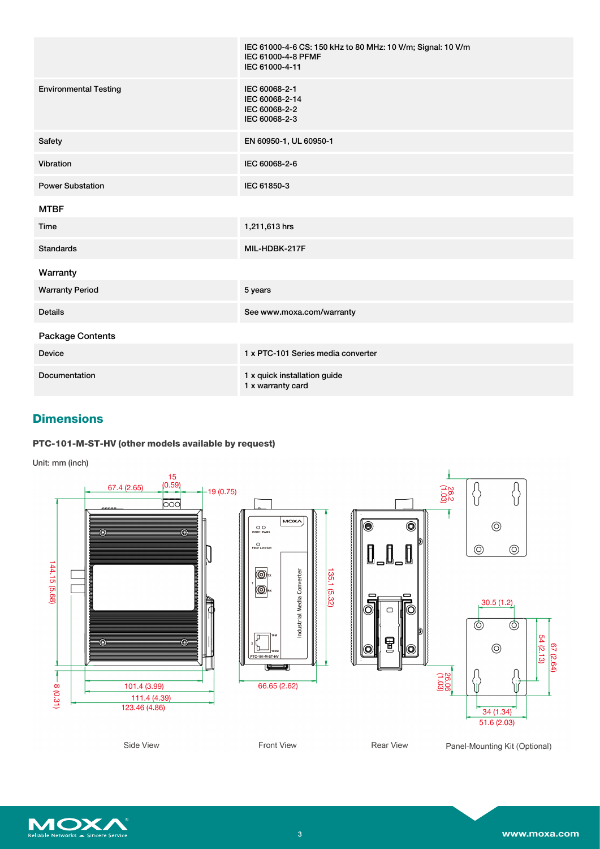|                              | IEC 61000-4-6 CS: 150 kHz to 80 MHz: 10 V/m; Signal: 10 V/m<br>IEC 61000-4-8 PFMF<br>IEC 61000-4-11 |
|------------------------------|-----------------------------------------------------------------------------------------------------|
| <b>Environmental Testing</b> | IEC 60068-2-1<br>IEC 60068-2-14<br>IEC 60068-2-2<br>IEC 60068-2-3                                   |
| Safety                       | EN 60950-1, UL 60950-1                                                                              |
| Vibration                    | IEC 60068-2-6                                                                                       |
| <b>Power Substation</b>      | IEC 61850-3                                                                                         |
| <b>MTBF</b>                  |                                                                                                     |
| Time                         | 1,211,613 hrs                                                                                       |
| <b>Standards</b>             | MIL-HDBK-217F                                                                                       |
| Warranty                     |                                                                                                     |
| <b>Warranty Period</b>       | 5 years                                                                                             |
| <b>Details</b>               | See www.moxa.com/warranty                                                                           |
| Package Contents             |                                                                                                     |
| <b>Device</b>                | 1 x PTC-101 Series media converter                                                                  |
| Documentation                | 1 x quick installation guide<br>1 x warranty card                                                   |

# **Dimensions**

### **PTC-101-M-ST-HV (other models available by request)**

Unit: mm (inch)